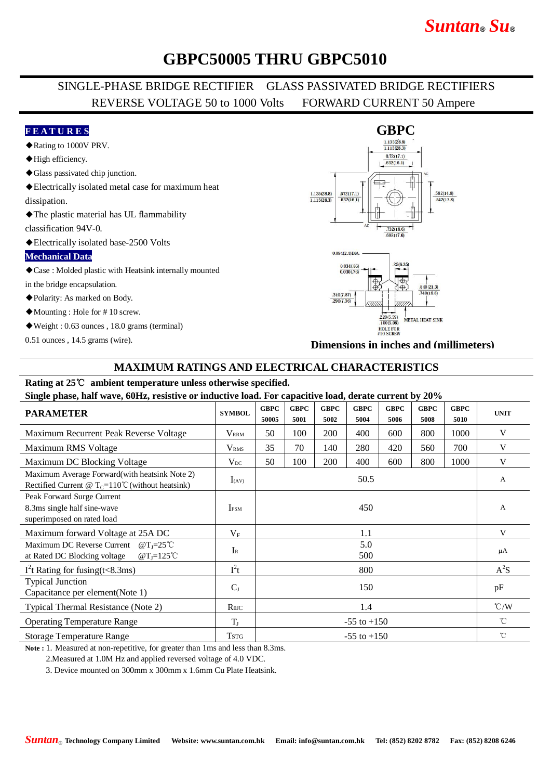# *Suntan***®** *Su***®**

## **GBPC50005 THRU GBPC5010**

### SINGLE-PHASE BRIDGE RECTIFIER GLASS PASSIVATED BRIDGE RECTIFIERS REVERSE VOLTAGE 50 to 1000 Volts FORWARD CURRENT 50 Ampere

#### **F E A T U R E S**

- ◆Rating to 1000V PRV.
- ◆High efficiency.
- ◆Glass passivated chip junction.
- ◆Electrically isolated metal case for maximum heat dissipation.
- ◆The plastic material has UL flammability

classification 94V-0.

◆Electrically isolated base-2500 Volts

#### **Mechanical Data**

◆Case : Molded plastic with Heatsink internally mounted

in the bridge encapsulation.

◆Polarity: As marked on Body.

◆Mounting : Hole for # 10 screw.

◆Weight : 0.63 ounces , 18.0 grams (terminal)

0.51 ounces , 14.5 grams (wire).





**Dimensions in inches and (millimeters)**

#### **MAXIMUM RATINGS AND ELECTRICAL CHARACTERISTICS**

## **Rating at 25**℃ **ambient temperature unless otherwise specified.**

**Single phase, half wave, 60Hz, resistive or inductive load. For capacitive load, derate current by 20%**

| 0                                                                                                                             |                                      |                      |                     |                     |                     |                     |                     |                     |                    |
|-------------------------------------------------------------------------------------------------------------------------------|--------------------------------------|----------------------|---------------------|---------------------|---------------------|---------------------|---------------------|---------------------|--------------------|
| <b>PARAMETER</b>                                                                                                              | <b>SYMBOL</b>                        | <b>GBPC</b><br>50005 | <b>GBPC</b><br>5001 | <b>GBPC</b><br>5002 | <b>GBPC</b><br>5004 | <b>GBPC</b><br>5006 | <b>GBPC</b><br>5008 | <b>GBPC</b><br>5010 | <b>UNIT</b>        |
| Maximum Recurrent Peak Reverse Voltage                                                                                        | <b>VRRM</b>                          | 50                   | 100                 | 200                 | 400                 | 600                 | 800                 | 1000                | V                  |
| Maximum RMS Voltage                                                                                                           | V <sub>RMS</sub>                     | 35                   | 70                  | 140                 | 280                 | 420                 | 560                 | 700                 | V                  |
| Maximum DC Blocking Voltage                                                                                                   | $V_{DC}$                             | 50                   | 100                 | 200                 | 400                 | 600                 | 800                 | 1000                | V                  |
| Maximum Average Forward(with heatsink Note 2)<br>Rectified Current @ $T_c=110^{\circ}$ C (without heatsink)                   | $I_{(AV)}$                           | 50.5                 |                     |                     |                     |                     |                     |                     | A                  |
| Peak Forward Surge Current<br>8.3ms single half sine-wave<br>superimposed on rated load                                       | <b>I</b> <sub>FSM</sub>              | 450                  |                     |                     |                     |                     |                     |                     | А                  |
| Maximum forward Voltage at 25A DC                                                                                             | $V_{\rm F}$                          | 1.1                  |                     |                     |                     |                     |                     |                     | V                  |
| Maximum DC Reverse Current $@T_1=25^{\circ}$ C<br>at Rated DC Blocking voltage<br>$\omega$ T <sub>J</sub> =125 <sup>°</sup> C | $I_{R}$                              | 5.0<br>500           |                     |                     |                     |                     |                     |                     | μA                 |
| $I2t$ Rating for fusing(t<8.3ms)                                                                                              | $I^2t$                               | 800                  |                     |                     |                     |                     |                     |                     | $A^2S$             |
| <b>Typical Junction</b><br>Capacitance per element(Note 1)                                                                    | $C_{J}$                              | 150                  |                     |                     |                     |                     |                     |                     | pF                 |
| Typical Thermal Resistance (Note 2)                                                                                           | $R$ <sup><math>\theta</math>JC</sup> | 1.4                  |                     |                     |                     |                     |                     |                     | $\rm ^{\circ}$ C/W |
| <b>Operating Temperature Range</b>                                                                                            | $T_{\rm J}$                          | $-55$ to $+150$      |                     |                     |                     |                     |                     |                     | $^{\circ}C$        |
| <b>Storage Temperature Range</b>                                                                                              | Tstg                                 | $-55$ to $+150$      |                     |                     |                     |                     |                     |                     | $^{\circ}$ C       |

**Note :** 1. Measured at non-repetitive, for greater than 1ms and less than 8.3ms.

2.Measured at 1.0M Hz and applied reversed voltage of 4.0 VDC.

3. Device mounted on 300mm x 300mm x 1.6mm Cu Plate Heatsink.